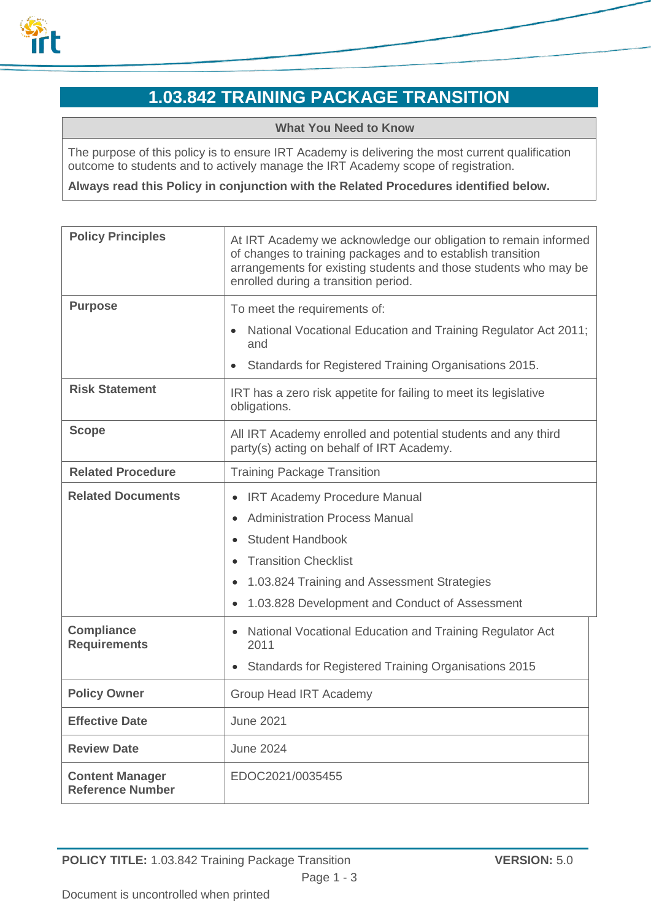

# **1.03.842 TRAINING PACKAGE TRANSITION**

**What You Need to Know**

The purpose of this policy is to ensure IRT Academy is delivering the most current qualification outcome to students and to actively manage the IRT Academy scope of registration.

**Always read this Policy in conjunction with the Related Procedures identified below.**

| <b>Policy Principles</b>                          | At IRT Academy we acknowledge our obligation to remain informed<br>of changes to training packages and to establish transition<br>arrangements for existing students and those students who may be<br>enrolled during a transition period. |
|---------------------------------------------------|--------------------------------------------------------------------------------------------------------------------------------------------------------------------------------------------------------------------------------------------|
| <b>Purpose</b>                                    | To meet the requirements of:                                                                                                                                                                                                               |
|                                                   | National Vocational Education and Training Regulator Act 2011;<br>and                                                                                                                                                                      |
|                                                   | Standards for Registered Training Organisations 2015.                                                                                                                                                                                      |
| <b>Risk Statement</b>                             | IRT has a zero risk appetite for failing to meet its legislative<br>obligations.                                                                                                                                                           |
| <b>Scope</b>                                      | All IRT Academy enrolled and potential students and any third<br>party(s) acting on behalf of IRT Academy.                                                                                                                                 |
| <b>Related Procedure</b>                          | <b>Training Package Transition</b>                                                                                                                                                                                                         |
| <b>Related Documents</b>                          | <b>IRT Academy Procedure Manual</b>                                                                                                                                                                                                        |
|                                                   | <b>Administration Process Manual</b><br>$\bullet$                                                                                                                                                                                          |
|                                                   | <b>Student Handbook</b>                                                                                                                                                                                                                    |
|                                                   | <b>Transition Checklist</b>                                                                                                                                                                                                                |
|                                                   | 1.03.824 Training and Assessment Strategies<br>$\bullet$                                                                                                                                                                                   |
|                                                   | 1.03.828 Development and Conduct of Assessment                                                                                                                                                                                             |
| <b>Compliance</b><br><b>Requirements</b>          | <b>National Vocational Education and Training Regulator Act</b><br>$\bullet$<br>2011                                                                                                                                                       |
|                                                   | <b>Standards for Registered Training Organisations 2015</b>                                                                                                                                                                                |
| <b>Policy Owner</b>                               | <b>Group Head IRT Academy</b>                                                                                                                                                                                                              |
| <b>Effective Date</b>                             | <b>June 2021</b>                                                                                                                                                                                                                           |
| <b>Review Date</b>                                | <b>June 2024</b>                                                                                                                                                                                                                           |
| <b>Content Manager</b><br><b>Reference Number</b> | EDOC2021/0035455                                                                                                                                                                                                                           |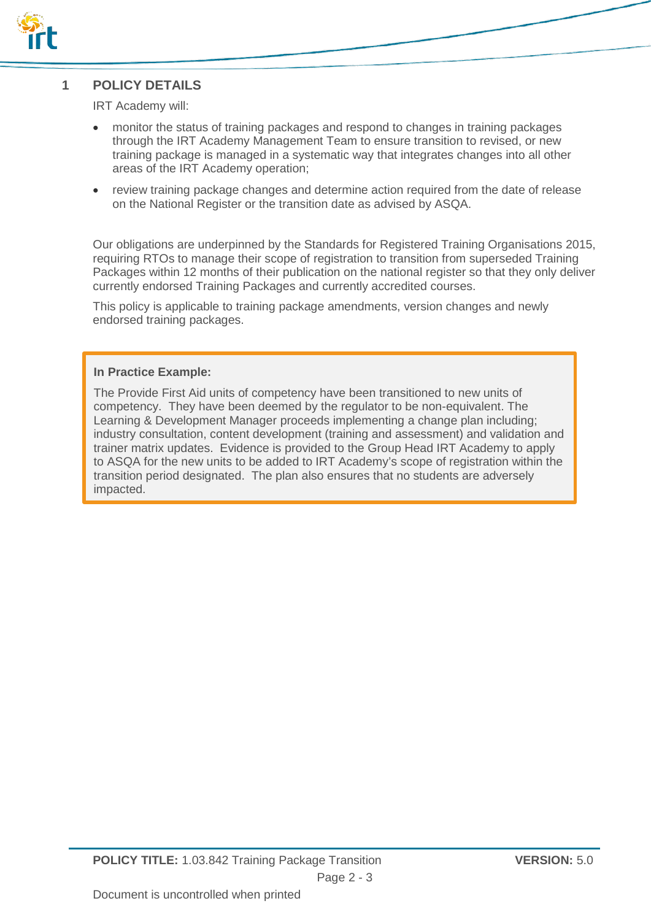

### **1 POLICY DETAILS**

IRT Academy will:

- monitor the status of training packages and respond to changes in training packages through the IRT Academy Management Team to ensure transition to revised, or new training package is managed in a systematic way that integrates changes into all other areas of the IRT Academy operation;
- review training package changes and determine action required from the date of release on the National Register or the transition date as advised by ASQA.

Our obligations are underpinned by the Standards for Registered Training Organisations 2015, requiring RTOs to manage their scope of registration to transition from superseded Training Packages within 12 months of their publication on the national register so that they only deliver currently endorsed Training Packages and currently accredited courses.

This policy is applicable to training package amendments, version changes and newly endorsed training packages.

#### **In Practice Example:**

The Provide First Aid units of competency have been transitioned to new units of competency. They have been deemed by the regulator to be non-equivalent. The Learning & Development Manager proceeds implementing a change plan including; industry consultation, content development (training and assessment) and validation and trainer matrix updates. Evidence is provided to the Group Head IRT Academy to apply to ASQA for the new units to be added to IRT Academy's scope of registration within the transition period designated. The plan also ensures that no students are adversely impacted.